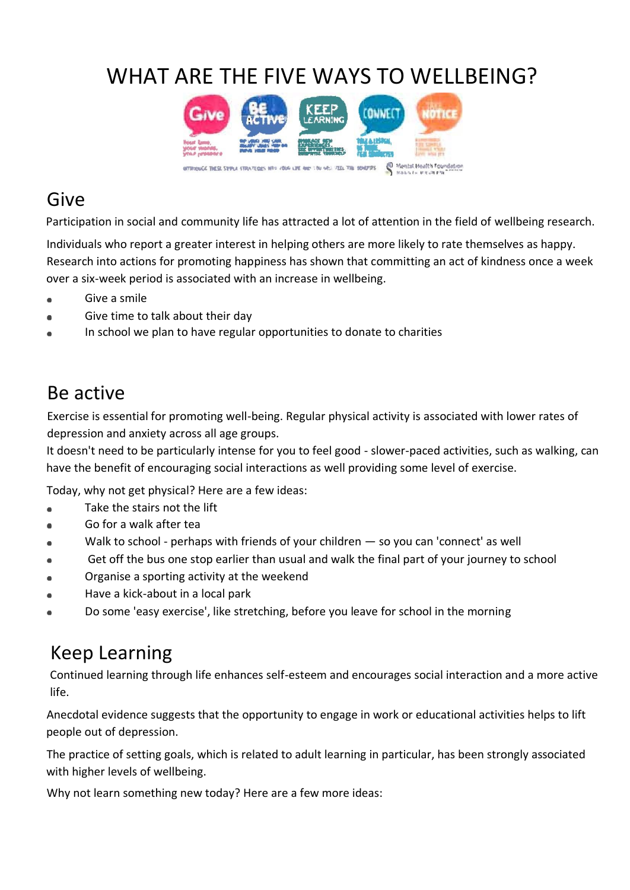# WHAT ARE THE FIVE WAYS TO WELLBEING?



#### Give

Participation in social and community life has attracted a lot of attention in the field of wellbeing research.

Individuals who report a greater interest in helping others are more likely to rate themselves as happy. Research into actions for promoting happiness has shown that committing an act of kindness once a week over a six-week period is associated with an increase in wellbeing.

- Give a smile
- Give time to talk about their day
- In school we plan to have regular opportunities to donate to charities

#### Be active

Exercise is essential for promoting well-being. Regular physical activity is associated with lower rates of depression and anxiety across all age groups.

It doesn't need to be particularly intense for you to feel good - slower-paced activities, such as walking, can have the benefit of encouraging social interactions as well providing some level of exercise.

Today, why not get physical? Here are a few ideas:

- Take the stairs not the lift
- Go for a walk after tea
- Walk to school perhaps with friends of your children so you can 'connect' as well
- Get off the bus one stop earlier than usual and walk the final part of your journey to school
- Organise a sporting activity at the weekend
- Have a kick-about in a local park
- Do some 'easy exercise', like stretching, before you leave for school in the morning

## Keep Learning

Continued learning through life enhances self-esteem and encourages social interaction and a more active life.

Anecdotal evidence suggests that the opportunity to engage in work or educational activities helps to lift people out of depression.

The practice of setting goals, which is related to adult learning in particular, has been strongly associated with higher levels of wellbeing.

Why not learn something new today? Here are a few more ideas: